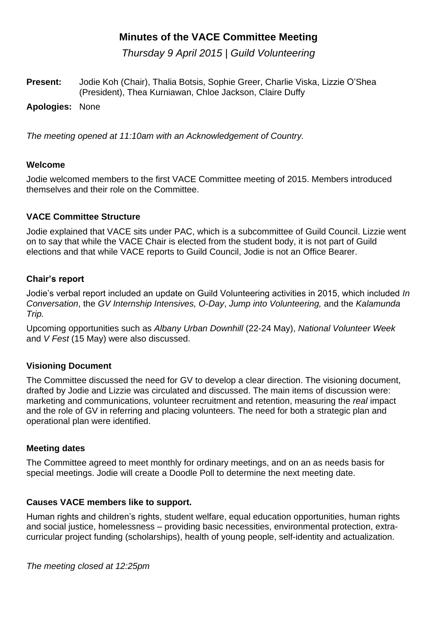*Thursday 9 April 2015 | Guild Volunteering*

**Present:** Jodie Koh (Chair), Thalia Botsis, Sophie Greer, Charlie Viska, Lizzie O'Shea (President), Thea Kurniawan, Chloe Jackson, Claire Duffy

**Apologies:** None

*The meeting opened at 11:10am with an Acknowledgement of Country.* 

# **Welcome**

Jodie welcomed members to the first VACE Committee meeting of 2015. Members introduced themselves and their role on the Committee.

# **VACE Committee Structure**

Jodie explained that VACE sits under PAC, which is a subcommittee of Guild Council. Lizzie went on to say that while the VACE Chair is elected from the student body, it is not part of Guild elections and that while VACE reports to Guild Council, Jodie is not an Office Bearer.

# **Chair's report**

Jodie's verbal report included an update on Guild Volunteering activities in 2015, which included *In Conversation*, the *GV Internship Intensives, O-Day*, *Jump into Volunteering,* and the *Kalamunda Trip.*

Upcoming opportunities such as *Albany Urban Downhill* (22-24 May), *National Volunteer Week*  and *V Fest* (15 May) were also discussed.

# **Visioning Document**

The Committee discussed the need for GV to develop a clear direction. The visioning document, drafted by Jodie and Lizzie was circulated and discussed. The main items of discussion were: marketing and communications, volunteer recruitment and retention, measuring the *real* impact and the role of GV in referring and placing volunteers. The need for both a strategic plan and operational plan were identified.

# **Meeting dates**

The Committee agreed to meet monthly for ordinary meetings, and on an as needs basis for special meetings. Jodie will create a Doodle Poll to determine the next meeting date.

# **Causes VACE members like to support.**

Human rights and children's rights, student welfare, equal education opportunities, human rights and social justice, homelessness – providing basic necessities, environmental protection, extracurricular project funding (scholarships), health of young people, self-identity and actualization.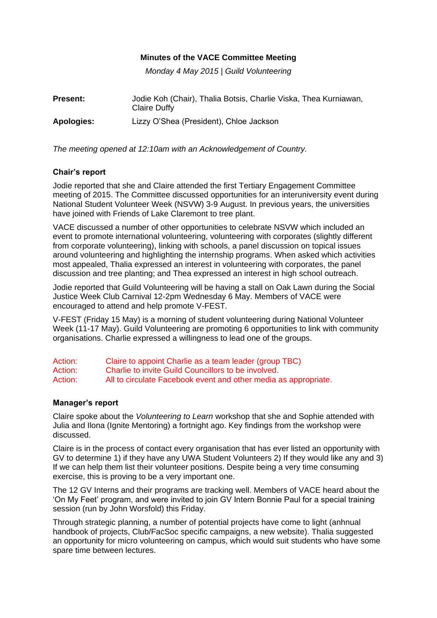*Monday 4 May 2015 | Guild Volunteering*

| <b>Present:</b> | Jodie Koh (Chair), Thalia Botsis, Charlie Viska, Thea Kurniawan,<br>Claire Duffy |
|-----------------|----------------------------------------------------------------------------------|
| Apologies:      | Lizzy O'Shea (President), Chloe Jackson                                          |

*The meeting opened at 12:10am with an Acknowledgement of Country.* 

# **Chair's report**

Jodie reported that she and Claire attended the first Tertiary Engagement Committee meeting of 2015. The Committee discussed opportunities for an interuniversity event during National Student Volunteer Week (NSVW) 3-9 August. In previous years, the universities have joined with Friends of Lake Claremont to tree plant.

VACE discussed a number of other opportunities to celebrate NSVW which included an event to promote international volunteering, volunteering with corporates (slightly different from corporate volunteering), linking with schools, a panel discussion on topical issues around volunteering and highlighting the internship programs. When asked which activities most appealed, Thalia expressed an interest in volunteering with corporates, the panel discussion and tree planting; and Thea expressed an interest in high school outreach.

Jodie reported that Guild Volunteering will be having a stall on Oak Lawn during the Social Justice Week Club Carnival 12-2pm Wednesday 6 May. Members of VACE were encouraged to attend and help promote V-FEST.

V-FEST (Friday 15 May) is a morning of student volunteering during National Volunteer Week (11-17 May). Guild Volunteering are promoting 6 opportunities to link with community organisations. Charlie expressed a willingness to lead one of the groups.

| Action: | Claire to appoint Charlie as a team leader (group TBC)          |
|---------|-----------------------------------------------------------------|
| Action: | Charlie to invite Guild Councillors to be involved.             |
| Action: | All to circulate Facebook event and other media as appropriate. |

# **Manager's report**

Claire spoke about the *Volunteering to Learn* workshop that she and Sophie attended with Julia and Ilona (Ignite Mentoring) a fortnight ago. Key findings from the workshop were discussed.

Claire is in the process of contact every organisation that has ever listed an opportunity with GV to determine 1) if they have any UWA Student Volunteers 2) If they would like any and 3) If we can help them list their volunteer positions. Despite being a very time consuming exercise, this is proving to be a very important one.

The 12 GV Interns and their programs are tracking well. Members of VACE heard about the 'On My Feet' program, and were invited to join GV Intern Bonnie Paul for a special training session (run by John Worsfold) this Friday.

Through strategic planning, a number of potential projects have come to light (anhnual handbook of projects, Club/FacSoc specific campaigns, a new website). Thalia suggested an opportunity for micro volunteering on campus, which would suit students who have some spare time between lectures.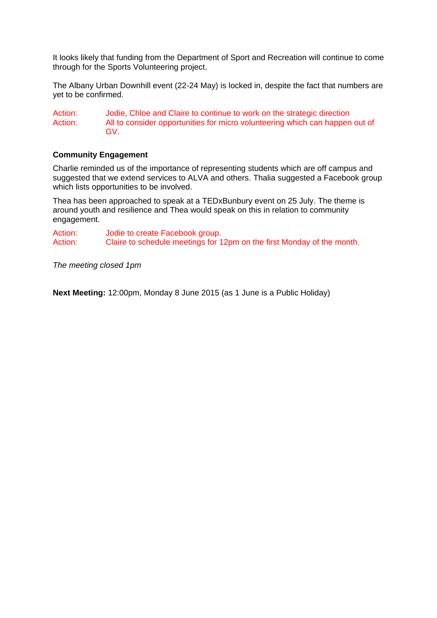It looks likely that funding from the Department of Sport and Recreation will continue to come through for the Sports Volunteering project.

The Albany Urban Downhill event (22-24 May) is locked in, despite the fact that numbers are yet to be confirmed.

Action: Jodie, Chloe and Claire to continue to work on the strategic direction Action: All to consider opportunities for micro volunteering which can happen out of GV.

#### **Community Engagement**

Charlie reminded us of the importance of representing students which are off campus and suggested that we extend services to ALVA and others. Thalia suggested a Facebook group which lists opportunities to be involved.

Thea has been approached to speak at a TEDxBunbury event on 25 July. The theme is around youth and resilience and Thea would speak on this in relation to community engagement.

Action: Jodie to create Facebook group. Action: Claire to schedule meetings for 12pm on the first Monday of the month.

*The meeting closed 1pm* 

**Next Meeting:** 12:00pm, Monday 8 June 2015 (as 1 June is a Public Holiday)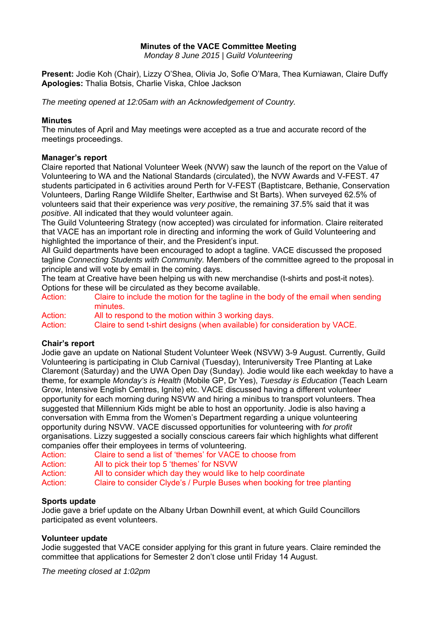*Monday 8 June 2015 | Guild Volunteering* 

**Present:** Jodie Koh (Chair), Lizzy O'Shea, Olivia Jo, Sofie O'Mara, Thea Kurniawan, Claire Duffy **Apologies:** Thalia Botsis, Charlie Viska, Chloe Jackson

*The meeting opened at 12:05am with an Acknowledgement of Country.* 

#### **Minutes**

The minutes of April and May meetings were accepted as a true and accurate record of the meetings proceedings.

# **Manager's report**

Claire reported that National Volunteer Week (NVW) saw the launch of the report on the Value of Volunteering to WA and the National Standards (circulated), the NVW Awards and V-FEST. 47 students participated in 6 activities around Perth for V-FEST (Baptistcare, Bethanie, Conservation Volunteers, Darling Range Wildlife Shelter, Earthwise and St Barts). When surveyed 62.5% of volunteers said that their experience was *very positive*, the remaining 37.5% said that it was *positive*. All indicated that they would volunteer again.

The Guild Volunteering Strategy (now accepted) was circulated for information. Claire reiterated that VACE has an important role in directing and informing the work of Guild Volunteering and highlighted the importance of their, and the President's input.

All Guild departments have been encouraged to adopt a tagline. VACE discussed the proposed tagline *Connecting Students with Community.* Members of the committee agreed to the proposal in principle and will vote by email in the coming days.

The team at Creative have been helping us with new merchandise (t-shirts and post-it notes). Options for these will be circulated as they become available.

| Action: |          |  |  | Claire to include the motion for the tagline in the body of the email when sending |  |
|---------|----------|--|--|------------------------------------------------------------------------------------|--|
|         | minutes. |  |  |                                                                                    |  |
|         |          |  |  |                                                                                    |  |

Action: All to respond to the motion within 3 working days.

Action: Claire to send t-shirt designs (when available) for consideration by VACE.

# **Chair's report**

Jodie gave an update on National Student Volunteer Week (NSVW) 3-9 August. Currently, Guild Volunteering is participating in Club Carnival (Tuesday), Interuniversity Tree Planting at Lake Claremont (Saturday) and the UWA Open Day (Sunday). Jodie would like each weekday to have a theme, for example *Monday's is Health* (Mobile GP, Dr Yes), *Tuesday is Education* (Teach Learn Grow, Intensive English Centres, Ignite) etc. VACE discussed having a different volunteer opportunity for each morning during NSVW and hiring a minibus to transport volunteers. Thea suggested that Millennium Kids might be able to host an opportunity. Jodie is also having a conversation with Emma from the Women's Department regarding a unique volunteering opportunity during NSVW. VACE discussed opportunities for volunteering with *for profit*  organisations. Lizzy suggested a socially conscious careers fair which highlights what different companies offer their employees in terms of volunteering.

- Action: Claire to send a list of 'themes' for VACE to choose from
- Action: All to pick their top 5 'themes' for NSVW
- Action: All to consider which day they would like to help coordinate

Action: Claire to consider Clyde's / Purple Buses when booking for tree planting

# **Sports update**

Jodie gave a brief update on the Albany Urban Downhill event, at which Guild Councillors participated as event volunteers.

# **Volunteer update**

Jodie suggested that VACE consider applying for this grant in future years. Claire reminded the committee that applications for Semester 2 don't close until Friday 14 August.

*The meeting closed at 1:02pm*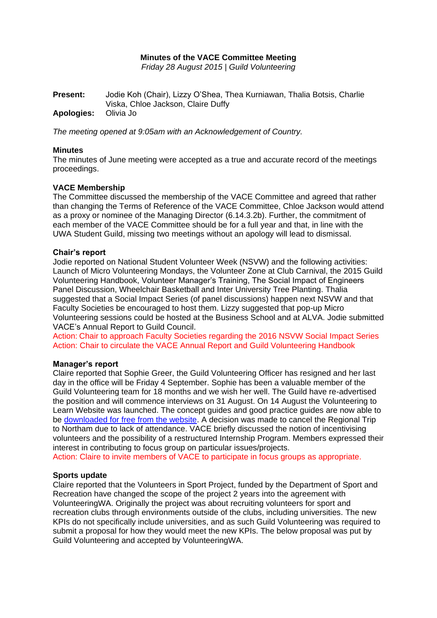*Friday 28 August 2015* | *Guild Volunteering*

**Present:** Jodie Koh (Chair), Lizzy O'Shea, Thea Kurniawan, Thalia Botsis, Charlie Viska, Chloe Jackson, Claire Duffy **Apologies:** Olivia Jo

*The meeting opened at 9:05am with an Acknowledgement of Country.* 

#### **Minutes**

The minutes of June meeting were accepted as a true and accurate record of the meetings proceedings.

#### **VACE Membership**

The Committee discussed the membership of the VACE Committee and agreed that rather than changing the Terms of Reference of the VACE Committee, Chloe Jackson would attend as a proxy or nominee of the Managing Director (6.14.3.2b). Further, the commitment of each member of the VACE Committee should be for a full year and that, in line with the UWA Student Guild, missing two meetings without an apology will lead to dismissal.

#### **Chair's report**

Jodie reported on National Student Volunteer Week (NSVW) and the following activities: Launch of Micro Volunteering Mondays, the Volunteer Zone at Club Carnival, the 2015 Guild Volunteering Handbook, Volunteer Manager's Training, The Social Impact of Engineers Panel Discussion, Wheelchair Basketball and Inter University Tree Planting. Thalia suggested that a Social Impact Series (of panel discussions) happen next NSVW and that Faculty Societies be encouraged to host them. Lizzy suggested that pop-up Micro Volunteering sessions could be hosted at the Business School and at ALVA. Jodie submitted VACE's Annual Report to Guild Council.

Action: Chair to approach Faculty Societies regarding the 2016 NSVW Social Impact Series Action: Chair to circulate the VACE Annual Report and Guild Volunteering Handbook

#### **Manager's report**

Claire reported that Sophie Greer, the Guild Volunteering Officer has resigned and her last day in the office will be Friday 4 September. Sophie has been a valuable member of the Guild Volunteering team for 18 months and we wish her well. The Guild have re-advertised the position and will commence interviews on 31 August. On 14 August the Volunteering to Learn Website was launched. The concept guides and good practice guides are now able to be [downloaded for free from the website.](http://www.murdoch.edu.au/projects/volunteeringtolearn/index.html) A decision was made to cancel the Regional Trip to Northam due to lack of attendance. VACE briefly discussed the notion of incentivising volunteers and the possibility of a restructured Internship Program. Members expressed their interest in contributing to focus group on particular issues/projects.

Action: Claire to invite members of VACE to participate in focus groups as appropriate.

#### **Sports update**

Claire reported that the Volunteers in Sport Project, funded by the Department of Sport and Recreation have changed the scope of the project 2 years into the agreement with VolunteeringWA. Originally the project was about recruiting volunteers for sport and recreation clubs through environments outside of the clubs, including universities. The new KPIs do not specifically include universities, and as such Guild Volunteering was required to submit a proposal for how they would meet the new KPIs. The below proposal was put by Guild Volunteering and accepted by VolunteeringWA.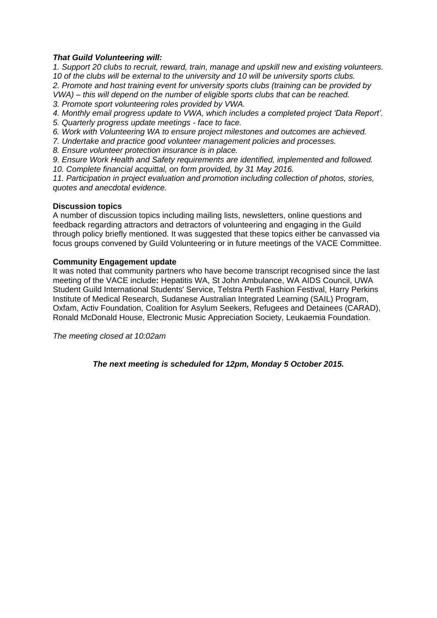### *That Guild Volunteering will:*

*1. Support 20 clubs to recruit, reward, train, manage and upskill new and existing volunteers. 10 of the clubs will be external to the university and 10 will be university sports clubs. 2. Promote and host training event for university sports clubs (training can be provided by VWA) – this will depend on the number of eligible sports clubs that can be reached. 3. Promote sport volunteering roles provided by VWA.* 

- *4. Monthly email progress update to VWA, which includes a completed project 'Data Report'.*
- *5. Quarterly progress update meetings - face to face.*
- *6. Work with Volunteering WA to ensure project milestones and outcomes are achieved.*
- *7. Undertake and practice good volunteer management policies and processes.*
- *8. Ensure volunteer protection insurance is in place.*

*9. Ensure Work Health and Safety requirements are identified, implemented and followed.* 

10. Complete financial acquittal, on form provided, by 31 May 2016.

*11. Participation in project evaluation and promotion including collection of photos, stories, quotes and anecdotal evidence.*

#### **Discussion topics**

A number of discussion topics including mailing lists, newsletters, online questions and feedback regarding attractors and detractors of volunteering and engaging in the Guild through policy briefly mentioned. It was suggested that these topics either be canvassed via focus groups convened by Guild Volunteering or in future meetings of the VACE Committee.

# **Community Engagement update**

It was noted that community partners who have become transcript recognised since the last meeting of the VACE include**:** Hepatitis WA, St John Ambulance, WA AIDS Council, UWA Student Guild International Students' Service, Telstra Perth Fashion Festival, Harry Perkins Institute of Medical Research, Sudanese Australian Integrated Learning (SAIL) Program, Oxfam, Activ Foundation, Coalition for Asylum Seekers, Refugees and Detainees (CARAD), Ronald McDonald House, Electronic Music Appreciation Society, Leukaemia Foundation.

*The meeting closed at 10:02am*

*The next meeting is scheduled for 12pm, Monday 5 October 2015.*